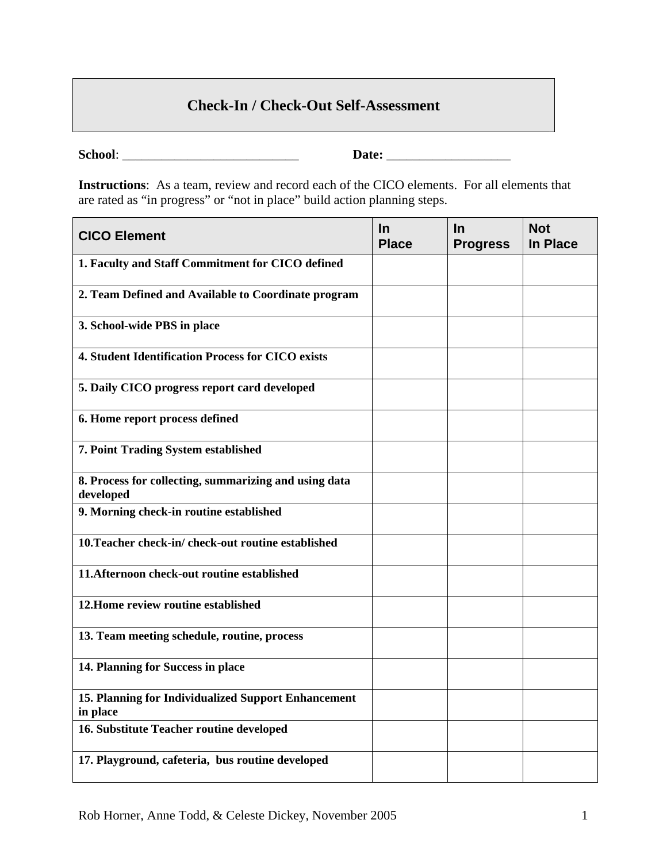## **Check-In / Check-Out Self-Assessment**

**School**: \_\_\_\_\_\_\_\_\_\_\_\_\_\_\_\_\_\_\_\_\_\_\_\_\_\_\_ **Date:** \_\_\_\_\_\_\_\_\_\_\_\_\_\_\_\_\_\_\_

**Instructions**: As a team, review and record each of the CICO elements. For all elements that are rated as "in progress" or "not in place" build action planning steps.

| <b>CICO Element</b>                                                | $\ln$<br><b>Place</b> | In<br><b>Progress</b> | <b>Not</b><br><b>In Place</b> |
|--------------------------------------------------------------------|-----------------------|-----------------------|-------------------------------|
| 1. Faculty and Staff Commitment for CICO defined                   |                       |                       |                               |
| 2. Team Defined and Available to Coordinate program                |                       |                       |                               |
| 3. School-wide PBS in place                                        |                       |                       |                               |
| 4. Student Identification Process for CICO exists                  |                       |                       |                               |
| 5. Daily CICO progress report card developed                       |                       |                       |                               |
| 6. Home report process defined                                     |                       |                       |                               |
| 7. Point Trading System established                                |                       |                       |                               |
| 8. Process for collecting, summarizing and using data<br>developed |                       |                       |                               |
| 9. Morning check-in routine established                            |                       |                       |                               |
| 10. Teacher check-in/check-out routine established                 |                       |                       |                               |
| 11. Afternoon check-out routine established                        |                       |                       |                               |
| 12. Home review routine established                                |                       |                       |                               |
| 13. Team meeting schedule, routine, process                        |                       |                       |                               |
| 14. Planning for Success in place                                  |                       |                       |                               |
| 15. Planning for Individualized Support Enhancement<br>in place    |                       |                       |                               |
| 16. Substitute Teacher routine developed                           |                       |                       |                               |
| 17. Playground, cafeteria, bus routine developed                   |                       |                       |                               |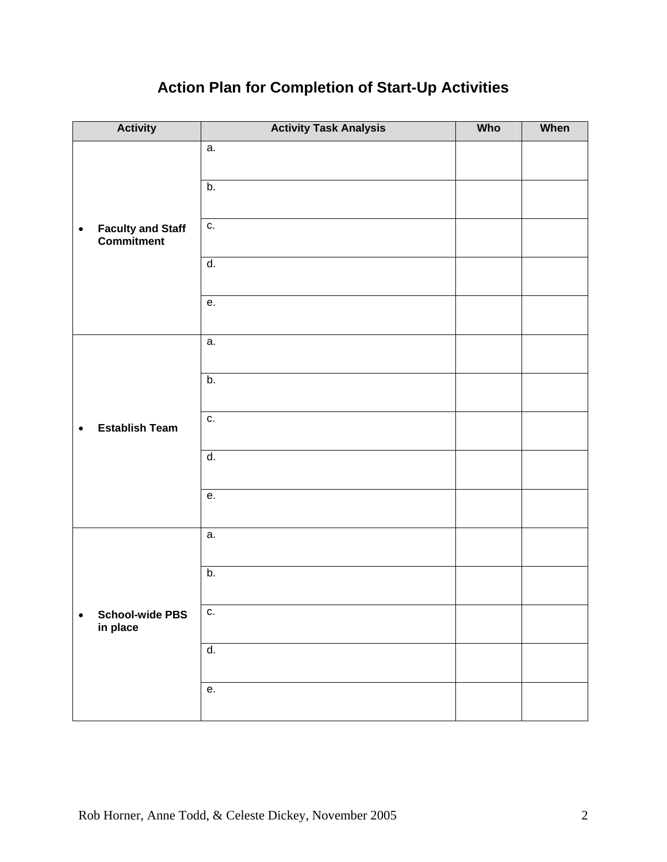| <b>Activity</b>                                     | <b>Activity Task Analysis</b> | Who | When |
|-----------------------------------------------------|-------------------------------|-----|------|
|                                                     | a.                            |     |      |
|                                                     | $\overline{b}$ .              |     |      |
| <b>Faculty and Staff</b><br>Commitment<br>$\bullet$ | c.                            |     |      |
|                                                     | $\overline{d}$ .              |     |      |
|                                                     | е.                            |     |      |
|                                                     | a.                            |     |      |
|                                                     | b.                            |     |      |
| <b>Establish Team</b><br>$\bullet$                  | c.                            |     |      |
|                                                     | $\overline{d}$ .              |     |      |
|                                                     | е.                            |     |      |
|                                                     | a.                            |     |      |
|                                                     | b.                            |     |      |
| <b>School-wide PBS</b><br>$\bullet$<br>in place     | c.                            |     |      |
|                                                     | $\overline{d}$ .              |     |      |
|                                                     | e.                            |     |      |

## **Action Plan for Completion of Start-Up Activities**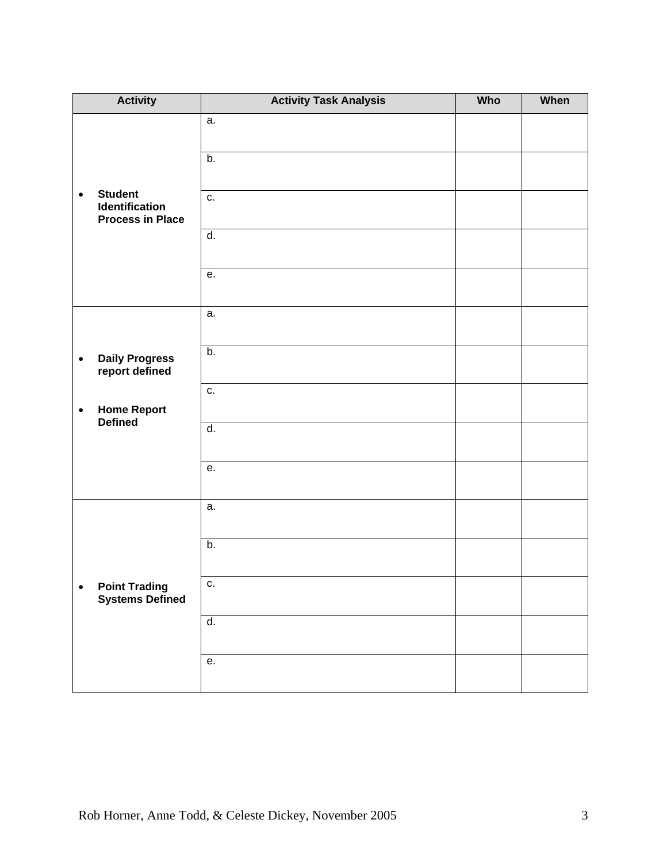| <b>Activity</b>                                                                 | <b>Activity Task Analysis</b> | <b>Who</b> | When |
|---------------------------------------------------------------------------------|-------------------------------|------------|------|
|                                                                                 | a.                            |            |      |
|                                                                                 | b.                            |            |      |
| <b>Student</b><br>$\bullet$<br><b>Identification</b><br><b>Process in Place</b> | c.                            |            |      |
|                                                                                 | d.                            |            |      |
|                                                                                 | e.                            |            |      |
|                                                                                 | a.                            |            |      |
| <b>Daily Progress<br/>report defined</b><br>$\bullet$                           | b.                            |            |      |
| <b>Home Report</b><br>Defined<br>$\bullet$                                      | c.                            |            |      |
|                                                                                 | $\overline{d}$ .              |            |      |
|                                                                                 | e.                            |            |      |
|                                                                                 | a.                            |            |      |
|                                                                                 | $\overline{b}$ .              |            |      |
| <b>Point Trading<br/>Systems Defined</b><br>$\bullet$                           | c.                            |            |      |
|                                                                                 | $\overline{d}$ .              |            |      |
|                                                                                 | е.                            |            |      |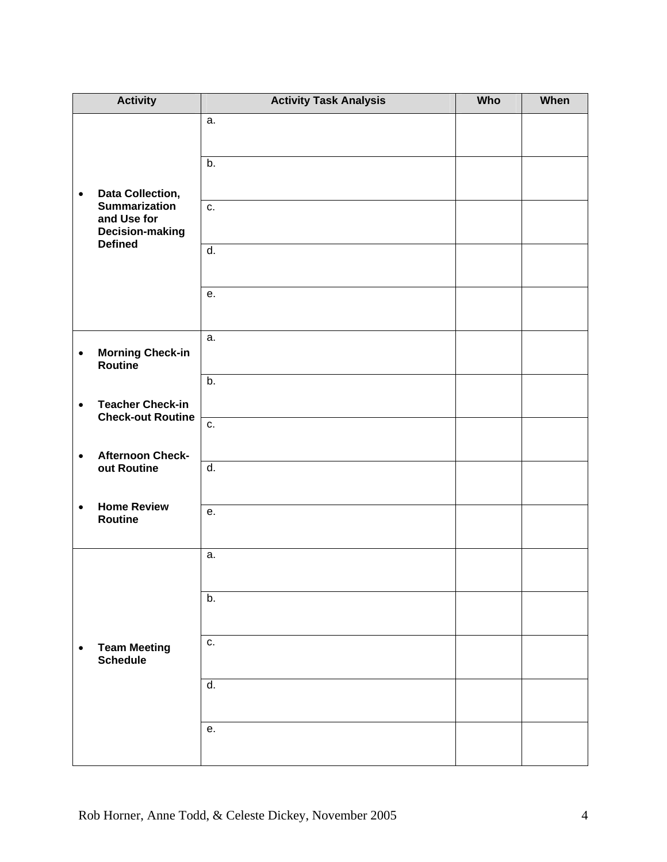|           | <b>Activity</b>                                                                               | <b>Activity Task Analysis</b> | <b>Who</b> | When |
|-----------|-----------------------------------------------------------------------------------------------|-------------------------------|------------|------|
|           | Data Collection,<br>$\bullet$<br><b>Summarization</b><br>and Use for<br>Decision-making       | a.                            |            |      |
|           |                                                                                               | b.                            |            |      |
|           |                                                                                               | c.                            |            |      |
|           | <b>Defined</b>                                                                                | $\overline{d}$ .              |            |      |
|           |                                                                                               | е.                            |            |      |
| $\bullet$ | <b>Morning Check-in</b><br><b>Routine</b>                                                     | a.                            |            |      |
| $\bullet$ | <b>Teacher Check-in</b><br><b>Check-out Routine</b><br><b>Afternoon Check-</b><br>out Routine | $\overline{b}$ .              |            |      |
| $\bullet$ |                                                                                               | c.                            |            |      |
|           |                                                                                               | d.                            |            |      |
| $\bullet$ | <b>Home Review</b><br>Routine                                                                 | e.                            |            |      |
| $\bullet$ | <b>Team Meeting</b><br><b>Schedule</b>                                                        | a.                            |            |      |
|           |                                                                                               | b.                            |            |      |
|           |                                                                                               | c.                            |            |      |
|           |                                                                                               | $\overline{d}$ .              |            |      |
|           |                                                                                               | е.                            |            |      |